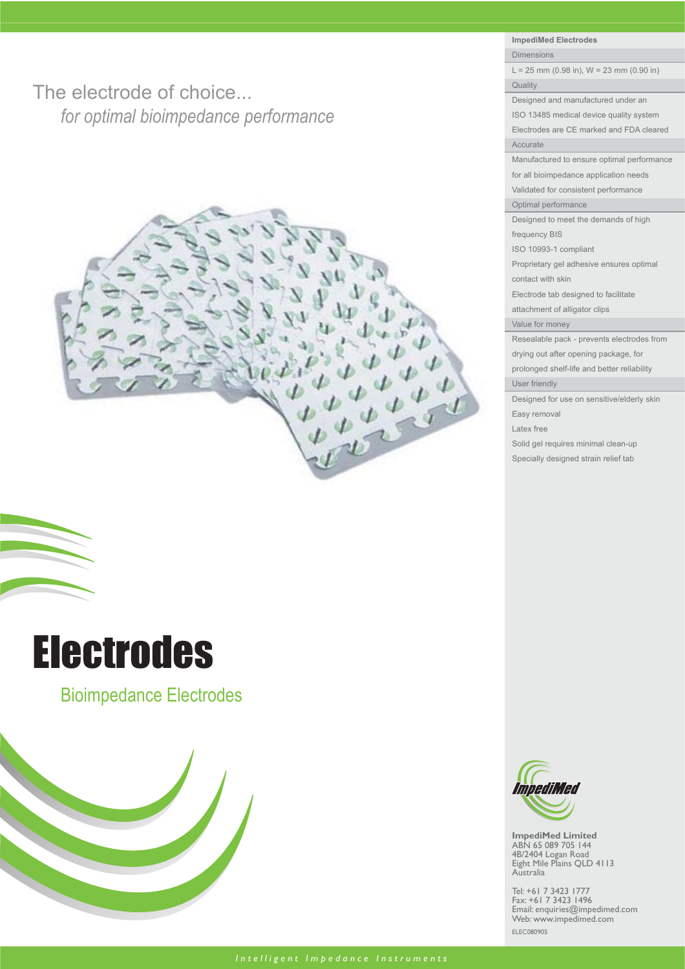The electrode of choice... *for optimal bioimpedance performance*





Bioimpedance Electrodes



**ImpediMed Electrodes** Dimensions

 $L = 25$  mm (0.98 in),  $W = 23$  mm (0.90 in) Quality

Designed and manufactured under an

ISO 13485 medical device quality system Electrodes are CE marked and FDA cleared Accurate

Manufactured to ensure optimal performance for all bioimpedance application needs Validated for consistent performance

Optimal performance

Designed to meet the demands of high

frequency BIS ISO 10993-1 compliant

Proprietary gel adhesive ensures optimal contact with skin

Electrode tab designed to facilitate

attachment of alligator clips

Value for money

Resealable pack - prevents electrodes from

drying out after opening package, for prolonged shelf-life and better reliability

User friendly

Designed for use on sensitive/elderly skin Easy removal

Latex free

Solid gel requires minimal clean-up

Specially designed strain relief tab



**ImpediMed Limited** ABN 65 089 705 144 4B/2404 Logan Road Eight Mile Plains QLD 4113 Australia

Tel: +61 7 3423 1777 Fax: +61 7 3423 1496 Email: enquiries@impedimed.com Web: www.impedimed.com ELEC080905